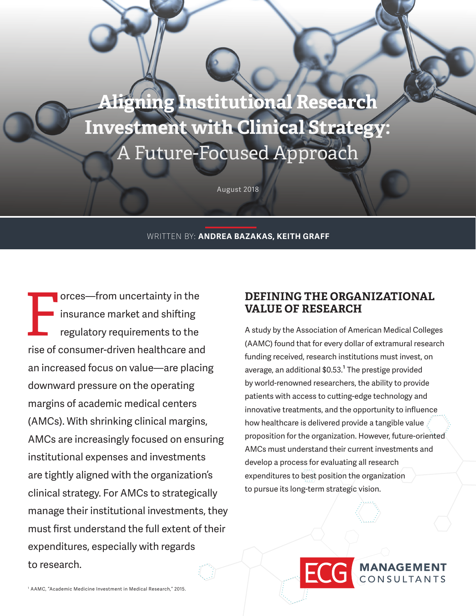**Aligning Institutional Research Investment with Clinical Strategy:**  A Future-Focused Approach

August 2018

#### WRITTEN BY: **ANDREA BAZAKAS, KEITH GRAFF**

Form uncertainty in the<br>insurance market and shifting<br>regulatory requirements to the<br>rise of consumer driver boothboard and insurance market and shifting regulatory requirements to the rise of consumer-driven healthcare and an increased focus on value—are placing downward pressure on the operating margins of academic medical centers (AMCs). With shrinking clinical margins, AMCs are increasingly focused on ensuring institutional expenses and investments are tightly aligned with the organization's clinical strategy. For AMCs to strategically manage their institutional investments, they must first understand the full extent of their expenditures, especially with regards to research.

## **DEFINING THE ORGANIZATIONAL VALUE OF RESEARCH**

A study by the Association of American Medical Colleges (AAMC) found that for every dollar of extramural research funding received, research institutions must invest, on average, an additional  $$0.53<sup>1</sup>$  The prestige provided by world-renowned researchers, the ability to provide patients with access to cutting-edge technology and innovative treatments, and the opportunity to influence how healthcare is delivered provide a tangible value proposition for the organization. However, future-oriented AMCs must understand their current investments and develop a process for evaluating all research expenditures to best position the organization to pursue its long-term strategic vision.

> **MANAGEMENT** CONSULTANTS

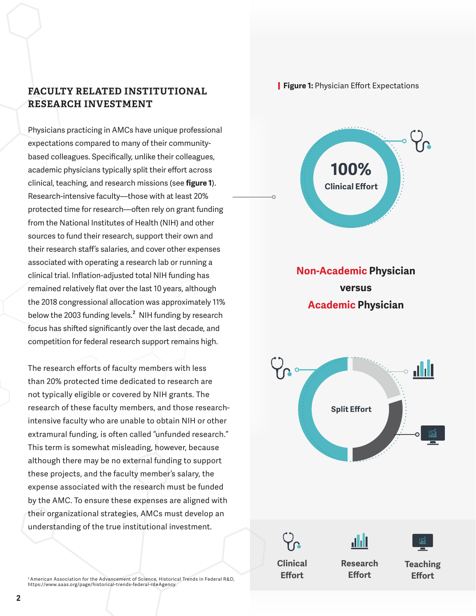## **FACULTY RELATED INSTITUTIONAL RESEARCH INVESTMENT**

Physicians practicing in AMCs have unique professional expectations compared to many of their communitybased colleagues. Specifically, unlike their colleagues, academic physicians typically split their effort across clinical, teaching, and research missions (see **figure 1**). Research-intensive faculty—those with at least 20% protected time for research—often rely on grant funding from the National Institutes of Health (NIH) and other sources to fund their research, support their own and their research staff's salaries, and cover other expenses associated with operating a research lab or running a clinical trial. Inflation-adjusted total NIH funding has remained relatively flat over the last 10 years, although the 2018 congressional allocation was approximately 11% below the 2003 funding levels.<sup>2</sup> NIH funding by research focus has shifted significantly over the last decade, and competition for federal research support remains high.

The research efforts of faculty members with less than 20% protected time dedicated to research are not typically eligible or covered by NIH grants. The research of these faculty members, and those researchintensive faculty who are unable to obtain NIH or other extramural funding, is often called "unfunded research." This term is somewhat misleading, however, because although there may be no external funding to support these projects, and the faculty member's salary, the expense associated with the research must be funded by the AMC. To ensure these expenses are aligned with their organizational strategies, AMCs must develop an understanding of the true institutional investment.

2 American Association for the Advancement of Science, Historical Trends in Federal R&D, https://www.aaas.org/page/historical-trends-federal-rd#Agency.

**Figure 1:** Physician Effort Expectations



**Non-Academic Physician versus Academic Physician**



**Clinical** 

**Effort**

**Research Effort**

ah I

**Teaching Effort**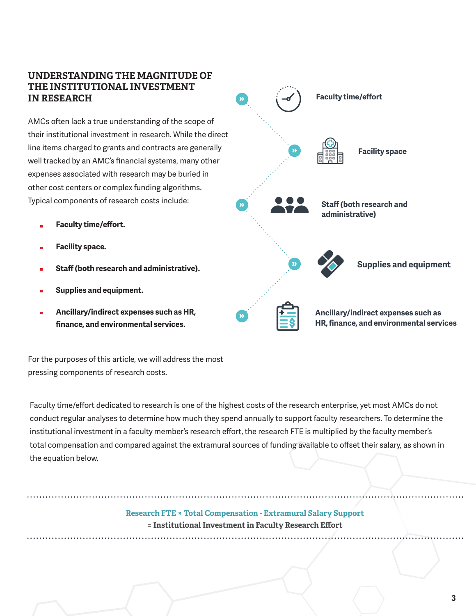## **UNDERSTANDING THE MAGNITUDE OF THE INSTITUTIONAL INVESTMENT IN RESEARCH**

AMCs often lack a true understanding of the scope of their institutional investment in research. While the direct line items charged to grants and contracts are generally well tracked by an AMC's financial systems, many other expenses associated with research may be buried in other cost centers or complex funding algorithms. Typical components of research costs include:

- **Faculty time/effort.**
- **Facility space.**
- **Staff (both research and administrative).**
- **Supplies and equipment.**
- **Ancillary/indirect expenses such as HR, finance, and environmental services.**



For the purposes of this article, we will address the most pressing components of research costs.

Faculty time/effort dedicated to research is one of the highest costs of the research enterprise, yet most AMCs do not conduct regular analyses to determine how much they spend annually to support faculty researchers. To determine the institutional investment in a faculty member's research effort, the research FTE is multiplied by the faculty member's total compensation and compared against the extramural sources of funding available to offset their salary, as shown in the equation below.

**Effort =Research FTE ×Total Compensation Research FTE × Total Compensation - Extramural Salary Support = Institutional Investment in Faculty Research Effort**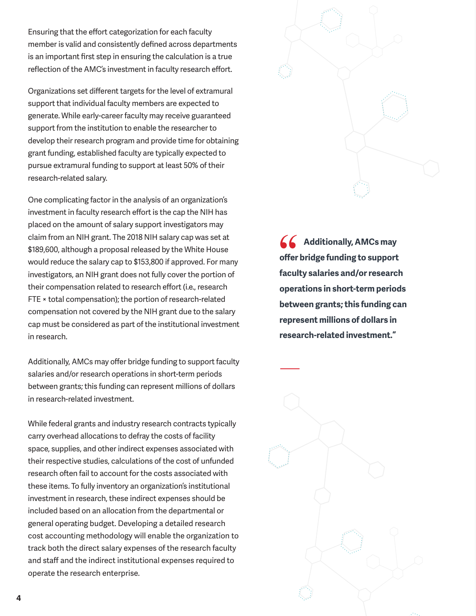Ensuring that the effort categorization for each faculty member is valid and consistently defined across departments is an important first step in ensuring the calculation is a true reflection of the AMC's investment in faculty research effort.

Organizations set different targets for the level of extramural support that individual faculty members are expected to generate. While early-career faculty may receive guaranteed support from the institution to enable the researcher to develop their research program and provide time for obtaining grant funding, established faculty are typically expected to pursue extramural funding to support at least 50% of their research-related salary.

One complicating factor in the analysis of an organization's investment in faculty research effort is the cap the NIH has placed on the amount of salary support investigators may claim from an NIH grant. The 2018 NIH salary cap was set at \$189,600, although a proposal released by the White House would reduce the salary cap to \$153,800 if approved. For many investigators, an NIH grant does not fully cover the portion of their compensation related to research effort (i.e., research FTE × total compensation); the portion of research-related compensation not covered by the NIH grant due to the salary cap must be considered as part of the institutional investment in research.

Additionally, AMCs may offer bridge funding to support faculty salaries and/or research operations in short-term periods between grants; this funding can represent millions of dollars in research-related investment.

While federal grants and industry research contracts typically carry overhead allocations to defray the costs of facility space, supplies, and other indirect expenses associated with their respective studies, calculations of the cost of unfunded research often fail to account for the costs associated with these items. To fully inventory an organization's institutional investment in research, these indirect expenses should be included based on an allocation from the departmental or general operating budget. Developing a detailed research cost accounting methodology will enable the organization to track both the direct salary expenses of the research faculty and staff and the indirect institutional expenses required to operate the research enterprise.



**Additionally, AMCs may offer bridge funding to support faculty salaries and/or research operations in short-term periods between grants; this funding can represent millions of dollars in research-related investment."**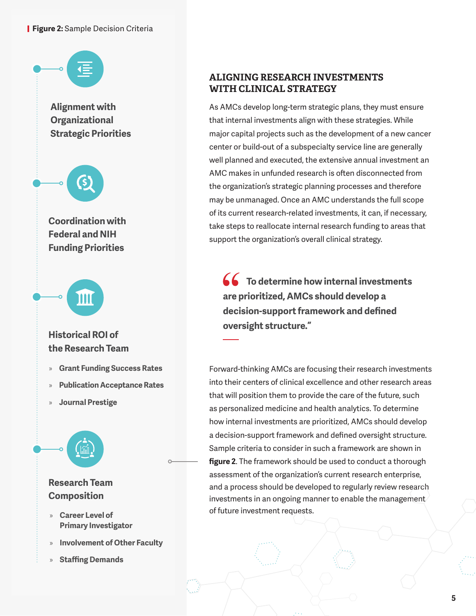#### **Figure 2:** Sample Decision Criteria



## **ALIGNING RESEARCH INVESTMENTS WITH CLINICAL STRATEGY**

As AMCs develop long-term strategic plans, they must ensure that internal investments align with these strategies. While major capital projects such as the development of a new cancer center or build-out of a subspecialty service line are generally well planned and executed, the extensive annual investment an AMC makes in unfunded research is often disconnected from the organization's strategic planning processes and therefore may be unmanaged. Once an AMC understands the full scope of its current research-related investments, it can, if necessary, take steps to reallocate internal research funding to areas that support the organization's overall clinical strategy.

**To determine how internal investments are prioritized, AMCs should develop a decision-support framework and defined oversight structure."** 

Forward-thinking AMCs are focusing their research investments into their centers of clinical excellence and other research areas that will position them to provide the care of the future, such as personalized medicine and health analytics. To determine how internal investments are prioritized, AMCs should develop a decision-support framework and defined oversight structure. Sample criteria to consider in such a framework are shown in **figure 2**. The framework should be used to conduct a thorough assessment of the organization's current research enterprise, and a process should be developed to regularly review research investments in an ongoing manner to enable the management of future investment requests.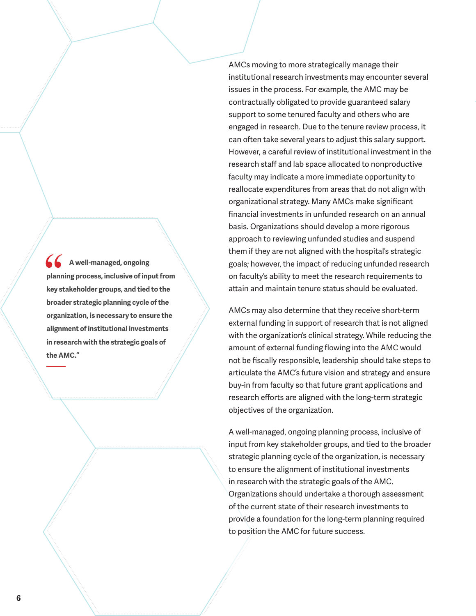**A well-managed, ongoing planning process, inclusive of input from key stakeholder groups, and tied to the broader strategic planning cycle of the organization, is necessary to ensure the alignment of institutional investments in research with the strategic goals of the AMC."**

AMCs moving to more strategically manage their institutional research investments may encounter several issues in the process. For example, the AMC may be contractually obligated to provide guaranteed salary support to some tenured faculty and others who are engaged in research. Due to the tenure review process, it can often take several years to adjust this salary support. However, a careful review of institutional investment in the research staff and lab space allocated to nonproductive faculty may indicate a more immediate opportunity to reallocate expenditures from areas that do not align with organizational strategy. Many AMCs make significant financial investments in unfunded research on an annual basis. Organizations should develop a more rigorous approach to reviewing unfunded studies and suspend them if they are not aligned with the hospital's strategic goals; however, the impact of reducing unfunded research on faculty's ability to meet the research requirements to attain and maintain tenure status should be evaluated.

AMCs may also determine that they receive short-term external funding in support of research that is not aligned with the organization's clinical strategy. While reducing the amount of external funding flowing into the AMC would not be fiscally responsible, leadership should take steps to articulate the AMC's future vision and strategy and ensure buy-in from faculty so that future grant applications and research efforts are aligned with the long-term strategic objectives of the organization.

A well-managed, ongoing planning process, inclusive of input from key stakeholder groups, and tied to the broader strategic planning cycle of the organization, is necessary to ensure the alignment of institutional investments in research with the strategic goals of the AMC. Organizations should undertake a thorough assessment of the current state of their research investments to provide a foundation for the long-term planning required to position the AMC for future success.